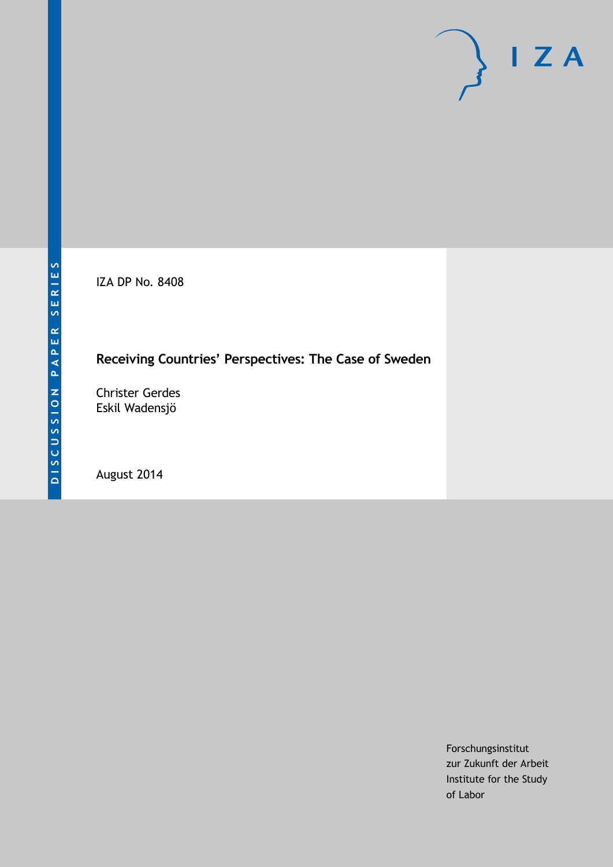IZA DP No. 8408

## **Receiving Countries' Perspectives: The Case of Sweden**

Christer Gerdes Eskil Wadensjö

August 2014

Forschungsinstitut zur Zukunft der Arbeit Institute for the Study of Labor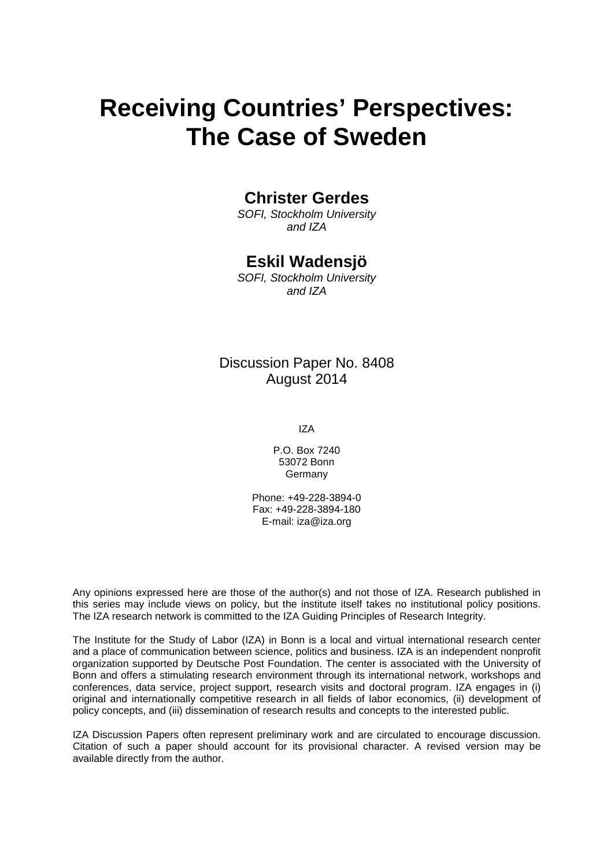# **Receiving Countries' Perspectives: The Case of Sweden**

### **Christer Gerdes**

*SOFI, Stockholm University and IZA*

### **Eskil Wadensjö**

*SOFI, Stockholm University and IZA*

Discussion Paper No. 8408 August 2014

IZA

P.O. Box 7240 53072 Bonn **Germany** 

Phone: +49-228-3894-0 Fax: +49-228-3894-180 E-mail: [iza@iza.org](mailto:iza@iza.org)

Any opinions expressed here are those of the author(s) and not those of IZA. Research published in this series may include views on policy, but the institute itself takes no institutional policy positions. The IZA research network is committed to the IZA Guiding Principles of Research Integrity.

The Institute for the Study of Labor (IZA) in Bonn is a local and virtual international research center and a place of communication between science, politics and business. IZA is an independent nonprofit organization supported by Deutsche Post Foundation. The center is associated with the University of Bonn and offers a stimulating research environment through its international network, workshops and conferences, data service, project support, research visits and doctoral program. IZA engages in (i) original and internationally competitive research in all fields of labor economics, (ii) development of policy concepts, and (iii) dissemination of research results and concepts to the interested public.

<span id="page-1-0"></span>IZA Discussion Papers often represent preliminary work and are circulated to encourage discussion. Citation of such a paper should account for its provisional character. A revised version may be available directly from the author.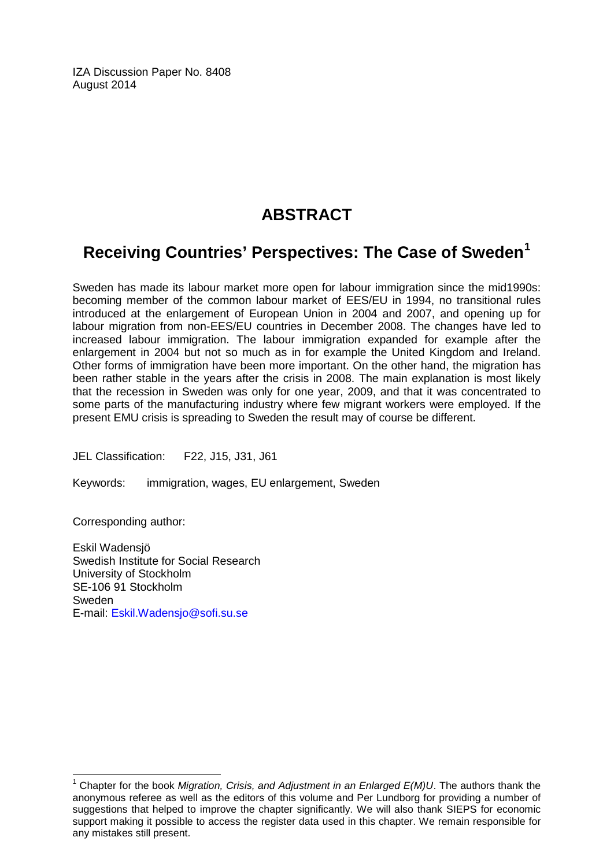IZA Discussion Paper No. 8408 August 2014

### **ABSTRACT**

## **Receiving Countries' Perspectives: The Case of Sweden[1](#page-1-0)**

Sweden has made its labour market more open for labour immigration since the mid1990s: becoming member of the common labour market of EES/EU in 1994, no transitional rules introduced at the enlargement of European Union in 2004 and 2007, and opening up for labour migration from non-EES/EU countries in December 2008. The changes have led to increased labour immigration. The labour immigration expanded for example after the enlargement in 2004 but not so much as in for example the United Kingdom and Ireland. Other forms of immigration have been more important. On the other hand, the migration has been rather stable in the years after the crisis in 2008. The main explanation is most likely that the recession in Sweden was only for one year, 2009, and that it was concentrated to some parts of the manufacturing industry where few migrant workers were employed. If the present EMU crisis is spreading to Sweden the result may of course be different.

JEL Classification: F22, J15, J31, J61

Keywords: immigration, wages, EU enlargement, Sweden

Corresponding author:

Eskil Wadensjö Swedish Institute for Social Research University of Stockholm SE-106 91 Stockholm Sweden E-mail: [Eskil.Wadensjo@sofi.su.se](mailto:Eskil.Wadensjo@sofi.su.se)

<sup>1</sup> Chapter for the book *Migration, Crisis, and Adjustment in an Enlarged E(M)U*. The authors thank the anonymous referee as well as the editors of this volume and Per Lundborg for providing a number of suggestions that helped to improve the chapter significantly. We will also thank SIEPS for economic support making it possible to access the register data used in this chapter. We remain responsible for any mistakes still present.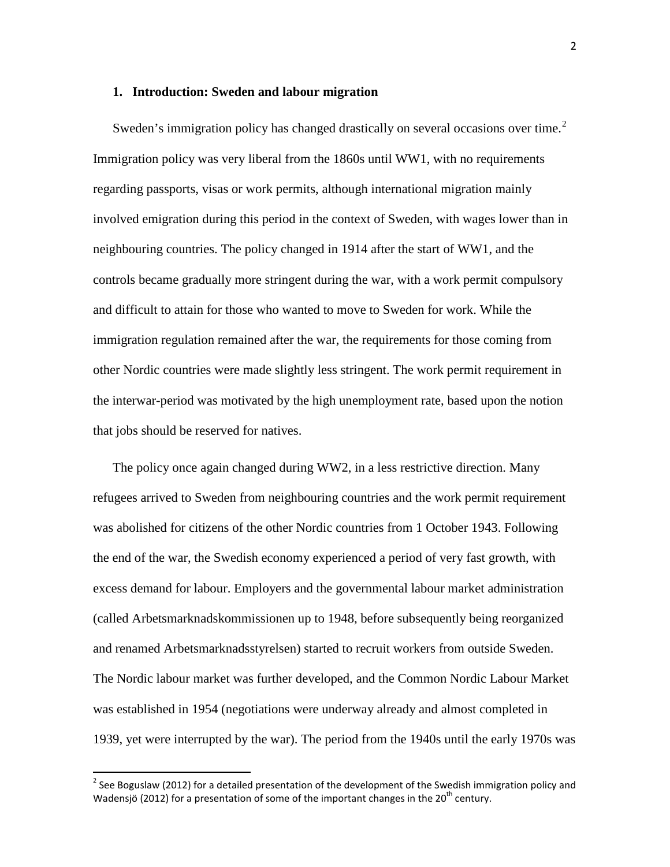#### **1. Introduction: Sweden and labour migration**

Sweden's immigration policy has changed drastically on several occasions over time.<sup>2</sup> Immigration policy was very liberal from the 1860s until WW1, with no requirements regarding passports, visas or work permits, although international migration mainly involved emigration during this period in the context of Sweden, with wages lower than in neighbouring countries. The policy changed in 1914 after the start of WW1, and the controls became gradually more stringent during the war, with a work permit compulsory and difficult to attain for those who wanted to move to Sweden for work. While the immigration regulation remained after the war, the requirements for those coming from other Nordic countries were made slightly less stringent. The work permit requirement in the interwar-period was motivated by the high unemployment rate, based upon the notion that jobs should be reserved for natives.

The policy once again changed during WW2, in a less restrictive direction. Many refugees arrived to Sweden from neighbouring countries and the work permit requirement was abolished for citizens of the other Nordic countries from 1 October 1943. Following the end of the war, the Swedish economy experienced a period of very fast growth, with excess demand for labour. Employers and the governmental labour market administration (called Arbetsmarknadskommissionen up to 1948, before subsequently being reorganized and renamed Arbetsmarknadsstyrelsen) started to recruit workers from outside Sweden. The Nordic labour market was further developed, and the Common Nordic Labour Market was established in 1954 (negotiations were underway already and almost completed in 1939, yet were interrupted by the war). The period from the 1940s until the early 1970s was

<span id="page-3-0"></span><sup>&</sup>lt;sup>2</sup> See Boguslaw (2012) for a detailed presentation of the development of the Swedish immigration policy and Wadensjö (2012) for a presentation of some of the important changes in the  $20^{th}$  century.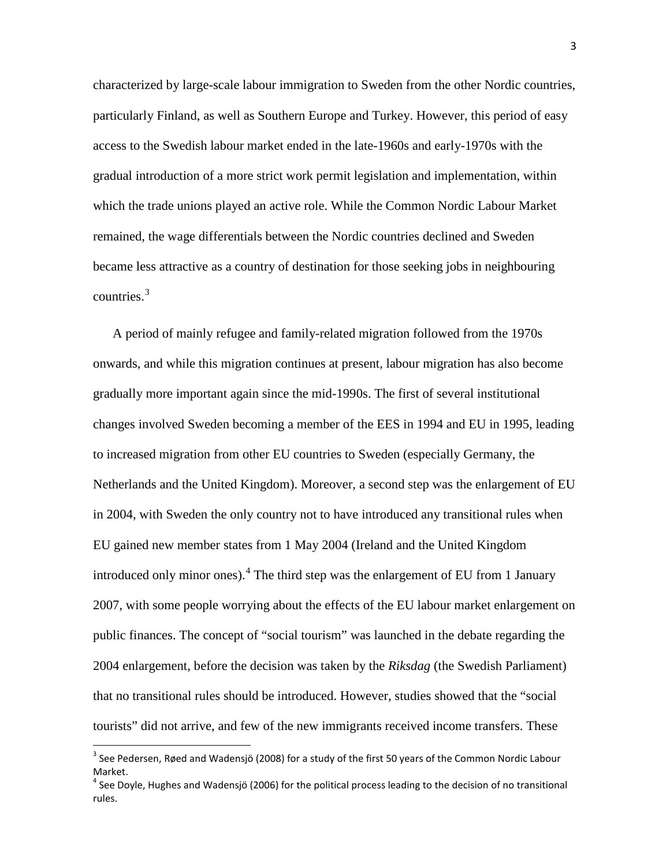characterized by large-scale labour immigration to Sweden from the other Nordic countries, particularly Finland, as well as Southern Europe and Turkey. However, this period of easy access to the Swedish labour market ended in the late-1960s and early-1970s with the gradual introduction of a more strict work permit legislation and implementation, within which the trade unions played an active role. While the Common Nordic Labour Market remained, the wage differentials between the Nordic countries declined and Sweden became less attractive as a country of destination for those seeking jobs in neighbouring countries. $3$ 

A period of mainly refugee and family-related migration followed from the 1970s onwards, and while this migration continues at present, labour migration has also become gradually more important again since the mid-1990s. The first of several institutional changes involved Sweden becoming a member of the EES in 1994 and EU in 1995, leading to increased migration from other EU countries to Sweden (especially Germany, the Netherlands and the United Kingdom). Moreover, a second step was the enlargement of EU in 2004, with Sweden the only country not to have introduced any transitional rules when EU gained new member states from 1 May 2004 (Ireland and the United Kingdom introduced only minor ones).[4](#page-4-0) The third step was the enlargement of EU from 1 January 2007, with some people worrying about the effects of the EU labour market enlargement on public finances. The concept of "social tourism" was launched in the debate regarding the 2004 enlargement, before the decision was taken by the *Riksdag* (the Swedish Parliament) that no transitional rules should be introduced. However, studies showed that the "social tourists" did not arrive, and few of the new immigrants received income transfers. These

<span id="page-4-1"></span><sup>&</sup>lt;sup>3</sup> See Pedersen, Røed and Wadensjö (2008) for a study of the first 50 years of the Common Nordic Labour Market.

<span id="page-4-0"></span> $<sup>4</sup>$  See Doyle, Hughes and Wadensiö (2006) for the political process leading to the decision of no transitional</sup> rules.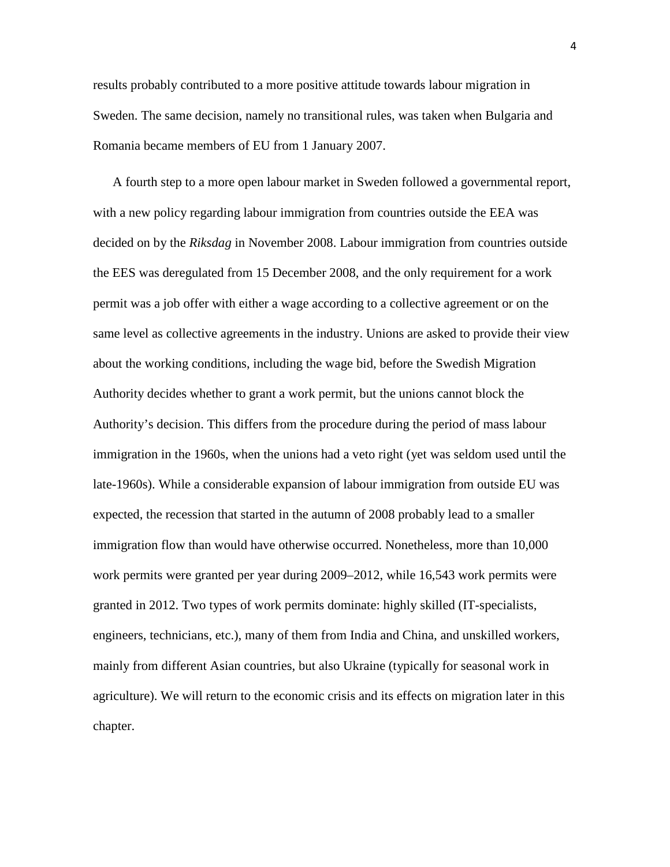results probably contributed to a more positive attitude towards labour migration in Sweden. The same decision, namely no transitional rules, was taken when Bulgaria and Romania became members of EU from 1 January 2007.

A fourth step to a more open labour market in Sweden followed a governmental report, with a new policy regarding labour immigration from countries outside the EEA was decided on by the *Riksdag* in November 2008. Labour immigration from countries outside the EES was deregulated from 15 December 2008, and the only requirement for a work permit was a job offer with either a wage according to a collective agreement or on the same level as collective agreements in the industry. Unions are asked to provide their view about the working conditions, including the wage bid, before the Swedish Migration Authority decides whether to grant a work permit, but the unions cannot block the Authority's decision. This differs from the procedure during the period of mass labour immigration in the 1960s, when the unions had a veto right (yet was seldom used until the late-1960s). While a considerable expansion of labour immigration from outside EU was expected, the recession that started in the autumn of 2008 probably lead to a smaller immigration flow than would have otherwise occurred. Nonetheless, more than 10,000 work permits were granted per year during 2009–2012, while 16,543 work permits were granted in 2012. Two types of work permits dominate: highly skilled (IT-specialists, engineers, technicians, etc.), many of them from India and China, and unskilled workers, mainly from different Asian countries, but also Ukraine (typically for seasonal work in agriculture). We will return to the economic crisis and its effects on migration later in this chapter.

4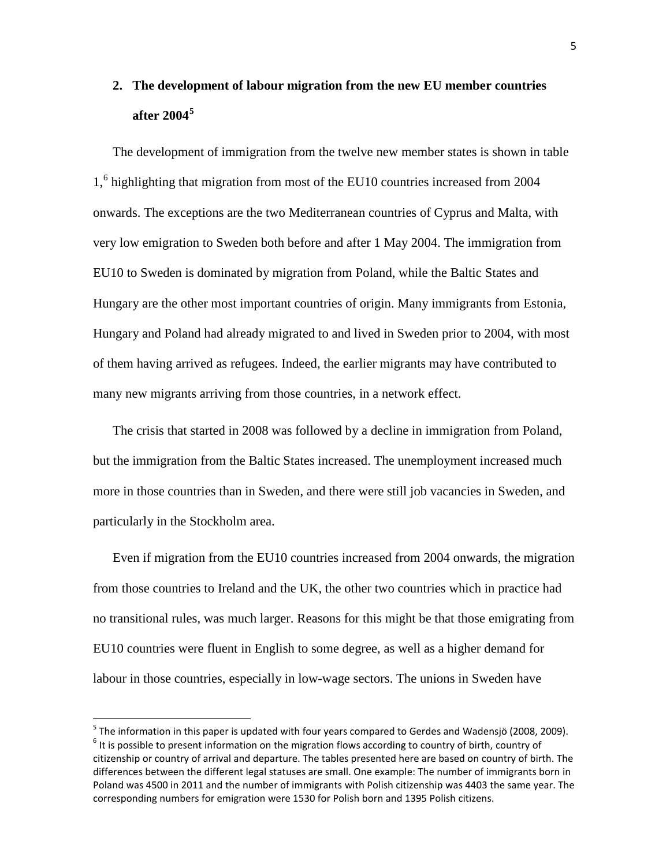# **2. The development of labour migration from the new EU member countries after 2004[5](#page-4-1)**

The development of immigration from the twelve new member states is shown in table 1,<sup>[6](#page-6-0)</sup> highlighting that migration from most of the EU10 countries increased from 2004 onwards. The exceptions are the two Mediterranean countries of Cyprus and Malta, with very low emigration to Sweden both before and after 1 May 2004. The immigration from EU10 to Sweden is dominated by migration from Poland, while the Baltic States and Hungary are the other most important countries of origin. Many immigrants from Estonia, Hungary and Poland had already migrated to and lived in Sweden prior to 2004, with most of them having arrived as refugees. Indeed, the earlier migrants may have contributed to many new migrants arriving from those countries, in a network effect.

The crisis that started in 2008 was followed by a decline in immigration from Poland, but the immigration from the Baltic States increased. The unemployment increased much more in those countries than in Sweden, and there were still job vacancies in Sweden, and particularly in the Stockholm area.

Even if migration from the EU10 countries increased from 2004 onwards, the migration from those countries to Ireland and the UK, the other two countries which in practice had no transitional rules, was much larger. Reasons for this might be that those emigrating from EU10 countries were fluent in English to some degree, as well as a higher demand for labour in those countries, especially in low-wage sectors. The unions in Sweden have

<span id="page-6-1"></span><span id="page-6-0"></span><sup>&</sup>lt;sup>5</sup> The information in this paper is updated with four years compared to Gerdes and Wadensjö (2008, 2009).  $6$  It is possible to present information on the migration flows according to country of birth, country of citizenship or country of arrival and departure. The tables presented here are based on country of birth. The differences between the different legal statuses are small. One example: The number of immigrants born in Poland was 4500 in 2011 and the number of immigrants with Polish citizenship was 4403 the same year. The corresponding numbers for emigration were 1530 for Polish born and 1395 Polish citizens.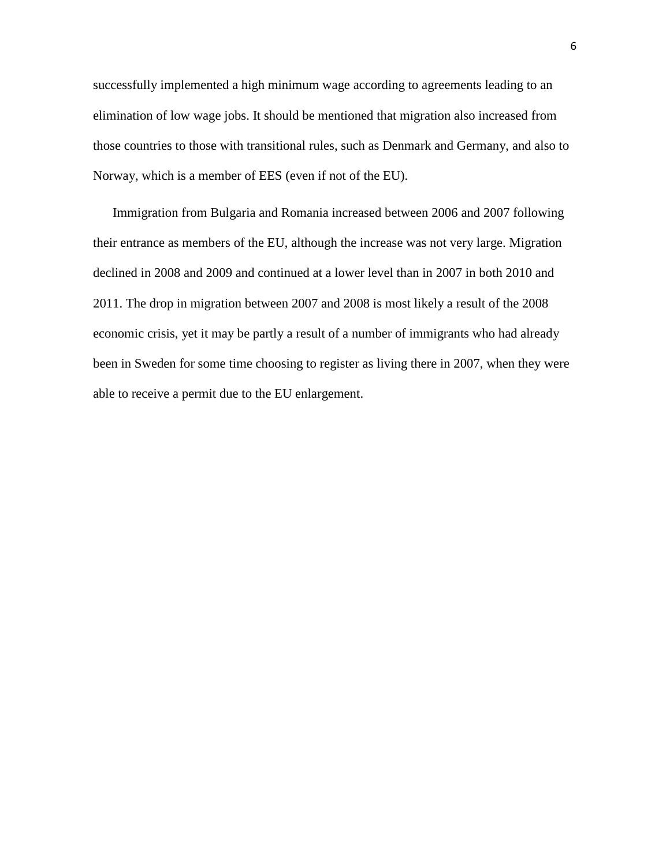successfully implemented a high minimum wage according to agreements leading to an elimination of low wage jobs. It should be mentioned that migration also increased from those countries to those with transitional rules, such as Denmark and Germany, and also to Norway, which is a member of EES (even if not of the EU).

Immigration from Bulgaria and Romania increased between 2006 and 2007 following their entrance as members of the EU, although the increase was not very large. Migration declined in 2008 and 2009 and continued at a lower level than in 2007 in both 2010 and 2011. The drop in migration between 2007 and 2008 is most likely a result of the 2008 economic crisis, yet it may be partly a result of a number of immigrants who had already been in Sweden for some time choosing to register as living there in 2007, when they were able to receive a permit due to the EU enlargement.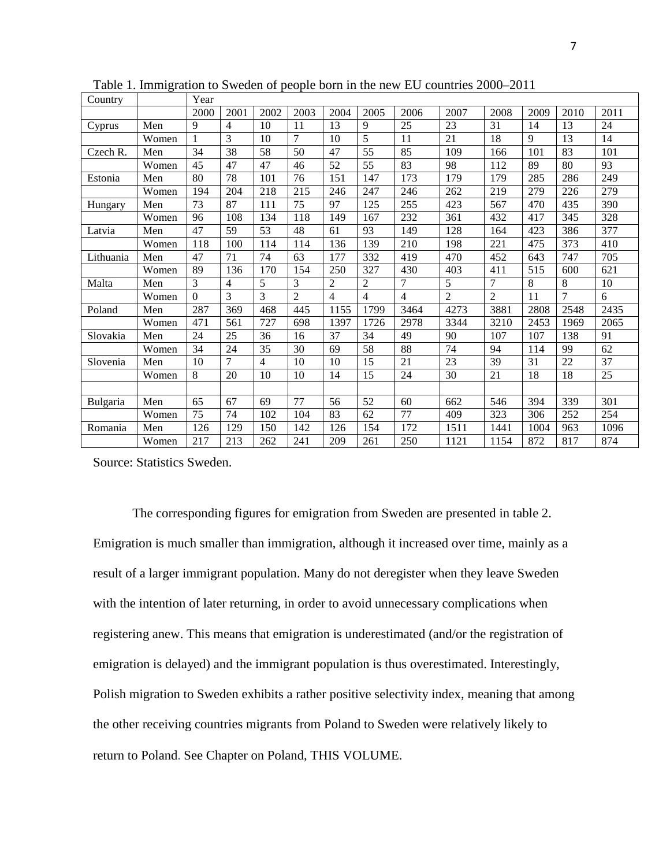| Country   |       | Year            |      |                |                 |                |                 |      |                |                |      |                 |      |
|-----------|-------|-----------------|------|----------------|-----------------|----------------|-----------------|------|----------------|----------------|------|-----------------|------|
|           |       | 2000            | 2001 | 2002           | 2003            | 2004           | 2005            | 2006 | 2007           | 2008           | 2009 | 2010            | 2011 |
| Cyprus    | Men   | 9               | 4    | 10             | 11              | 13             | 9               | 25   | 23             | 31             | 14   | 13              | 24   |
|           | Women | 1               | 3    | 10             | $\overline{7}$  | 10             | 5               | 11   | 21             | 18             | 9    | 13              | 14   |
| Czech R.  | Men   | $\overline{34}$ | 38   | 58             | $\overline{50}$ | 47             | $\overline{55}$ | 85   | 109            | 166            | 101  | $\overline{83}$ | 101  |
|           | Women | 45              | 47   | 47             | 46              | 52             | 55              | 83   | 98             | 112            | 89   | 80              | 93   |
| Estonia   | Men   | 80              | 78   | 101            | 76              | 151            | 147             | 173  | 179            | 179            | 285  | 286             | 249  |
|           | Women | 194             | 204  | 218            | 215             | 246            | 247             | 246  | 262            | 219            | 279  | 226             | 279  |
| Hungary   | Men   | 73              | 87   | 111            | 75              | 97             | 125             | 255  | 423            | 567            | 470  | 435             | 390  |
|           | Women | 96              | 108  | 134            | 118             | 149            | 167             | 232  | 361            | 432            | 417  | 345             | 328  |
| Latvia    | Men   | 47              | 59   | 53             | 48              | 61             | 93              | 149  | 128            | 164            | 423  | 386             | 377  |
|           | Women | 118             | 100  | 114            | 114             | 136            | 139             | 210  | 198            | 221            | 475  | 373             | 410  |
| Lithuania | Men   | 47              | 71   | 74             | 63              | 177            | 332             | 419  | 470            | 452            | 643  | 747             | 705  |
|           | Women | 89              | 136  | 170            | 154             | 250            | 327             | 430  | 403            | 411            | 515  | 600             | 621  |
| Malta     | Men   | 3               | 4    | 5              | 3               | $\overline{2}$ | 2               | 7    | 5              | 7              | 8    | 8               | 10   |
|           | Women | $\Omega$        | 3    | 3              | $\overline{2}$  | $\overline{4}$ | $\overline{4}$  | 4    | $\overline{2}$ | $\overline{c}$ | 11   | $\overline{7}$  | 6    |
| Poland    | Men   | 287             | 369  | 468            | 445             | 1155           | 1799            | 3464 | 4273           | 3881           | 2808 | 2548            | 2435 |
|           | Women | 471             | 561  | 727            | 698             | 1397           | 1726            | 2978 | 3344           | 3210           | 2453 | 1969            | 2065 |
| Slovakia  | Men   | 24              | 25   | 36             | 16              | 37             | 34              | 49   | 90             | 107            | 107  | 138             | 91   |
|           | Women | 34              | 24   | 35             | 30              | 69             | 58              | 88   | 74             | 94             | 114  | 99              | 62   |
| Slovenia  | Men   | 10              | 7    | $\overline{4}$ | 10              | 10             | 15              | 21   | 23             | 39             | 31   | 22              | 37   |
|           | Women | 8               | 20   | 10             | 10              | 14             | 15              | 24   | 30             | 21             | 18   | 18              | 25   |
|           |       |                 |      |                |                 |                |                 |      |                |                |      |                 |      |
| Bulgaria  | Men   | 65              | 67   | 69             | 77              | 56             | 52              | 60   | 662            | 546            | 394  | 339             | 301  |
|           | Women | 75              | 74   | 102            | 104             | 83             | 62              | 77   | 409            | 323            | 306  | 252             | 254  |
| Romania   | Men   | 126             | 129  | 150            | 142             | 126            | 154             | 172  | 1511           | 1441           | 1004 | 963             | 1096 |
|           | Women | 217             | 213  | 262            | 241             | 209            | 261             | 250  | 1121           | 1154           | 872  | 817             | 874  |

Table 1. Immigration to Sweden of people born in the new EU countries 2000–2011

Source: Statistics Sweden.

The corresponding figures for emigration from Sweden are presented in table 2. Emigration is much smaller than immigration, although it increased over time, mainly as a result of a larger immigrant population. Many do not deregister when they leave Sweden with the intention of later returning, in order to avoid unnecessary complications when registering anew. This means that emigration is underestimated (and/or the registration of emigration is delayed) and the immigrant population is thus overestimated. Interestingly, Polish migration to Sweden exhibits a rather positive selectivity index, meaning that among the other receiving countries migrants from Poland to Sweden were relatively likely to return to Poland. See Chapter on Poland, THIS VOLUME.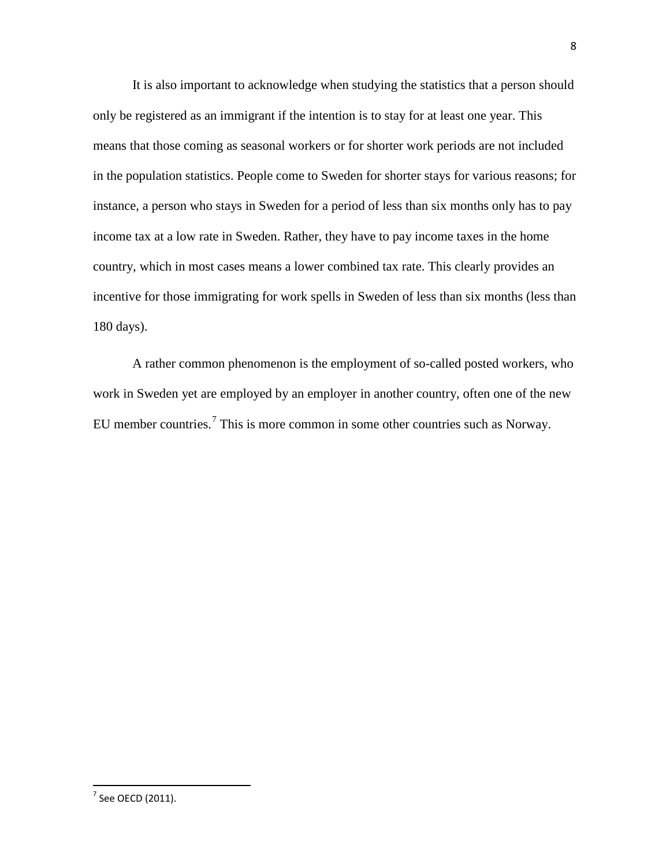It is also important to acknowledge when studying the statistics that a person should only be registered as an immigrant if the intention is to stay for at least one year. This means that those coming as seasonal workers or for shorter work periods are not included in the population statistics. People come to Sweden for shorter stays for various reasons; for instance, a person who stays in Sweden for a period of less than six months only has to pay income tax at a low rate in Sweden. Rather, they have to pay income taxes in the home country, which in most cases means a lower combined tax rate. This clearly provides an incentive for those immigrating for work spells in Sweden of less than six months (less than 180 days).

A rather common phenomenon is the employment of so-called posted workers, who work in Sweden yet are employed by an employer in another country, often one of the new EU member countries.[7](#page-6-1) This is more common in some other countries such as Norway.

<span id="page-9-0"></span> $<sup>7</sup>$  See OECD (2011).</sup>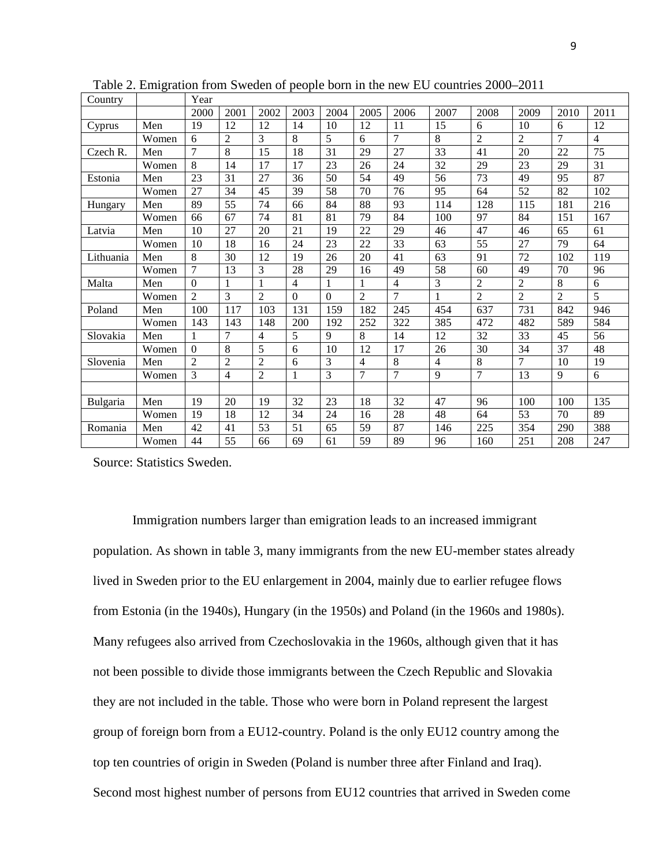| Country   |       | Year           |                |                |          |          |                |                 |      |                |                |                |                 |
|-----------|-------|----------------|----------------|----------------|----------|----------|----------------|-----------------|------|----------------|----------------|----------------|-----------------|
|           |       | 2000           | 2001           | 2002           | 2003     | 2004     | 2005           | 2006            | 2007 | 2008           | 2009           | 2010           | 2011            |
| Cyprus    | Men   | 19             | 12             | 12             | 14       | 10       | 12             | 11              | 15   | 6              | 10             | 6              | 12              |
|           | Women | 6              | $\overline{2}$ | 3              | 8        | 5        | 6              | 7               | 8    | $\overline{2}$ | $\overline{2}$ | $\overline{7}$ | 4               |
| Czech R.  | Men   | $\overline{7}$ | 8              | 15             | 18       | 31       | 29             | $\overline{27}$ | 33   | 41             | 20             | 22             | $\overline{75}$ |
|           | Women | 8              | 14             | 17             | 17       | 23       | 26             | 24              | 32   | 29             | 23             | 29             | 31              |
| Estonia   | Men   | 23             | 31             | 27             | 36       | 50       | 54             | 49              | 56   | 73             | 49             | 95             | 87              |
|           | Women | 27             | 34             | 45             | 39       | 58       | 70             | 76              | 95   | 64             | 52             | 82             | 102             |
| Hungary   | Men   | 89             | 55             | 74             | 66       | 84       | 88             | 93              | 114  | 128            | 115            | 181            | 216             |
|           | Women | 66             | 67             | 74             | 81       | 81       | 79             | 84              | 100  | 97             | 84             | 151            | 167             |
| Latvia    | Men   | 10             | 27             | 20             | 21       | 19       | 22             | 29              | 46   | 47             | 46             | 65             | 61              |
|           | Women | 10             | 18             | 16             | 24       | 23       | 22             | 33              | 63   | 55             | 27             | 79             | 64              |
| Lithuania | Men   | 8              | 30             | 12             | 19       | 26       | 20             | 41              | 63   | 91             | 72             | 102            | 119             |
|           | Women | 7              | 13             | 3              | 28       | 29       | 16             | 49              | 58   | 60             | 49             | 70             | 96              |
| Malta     | Men   | $\theta$       | 1              |                | 4        |          | 1              | 4               | 3    | $\overline{c}$ | 2              | 8              | 6               |
|           | Women | $\mathfrak{D}$ | 3              | $\overline{2}$ | $\Omega$ | $\Omega$ | $\overline{2}$ | $\overline{7}$  |      | $\overline{2}$ | $\overline{2}$ | $\overline{2}$ | 5               |
| Poland    | Men   | 100            | 117            | 103            | 131      | 159      | 182            | 245             | 454  | 637            | 731            | 842            | 946             |
|           | Women | 143            | 143            | 148            | 200      | 192      | 252            | 322             | 385  | 472            | 482            | 589            | 584             |
| Slovakia  | Men   | 1              | 7              | $\overline{4}$ | 5        | 9        | 8              | 14              | 12   | 32             | 33             | 45             | 56              |
|           | Women | $\theta$       | 8              | 5              | 6        | 10       | 12             | 17              | 26   | 30             | 34             | 37             | 48              |
| Slovenia  | Men   | 2              | 2              | $\overline{2}$ | 6        | 3        | 4              | 8               | 4    | 8              | 7              | 10             | 19              |
|           | Women | 3              | 4              | $\mathbf{2}$   | 1        | 3        | 7              | 7               | 9    | 7              | 13             | 9              | 6               |
|           |       |                |                |                |          |          |                |                 |      |                |                |                |                 |
| Bulgaria  | Men   | 19             | 20             | 19             | 32       | 23       | 18             | 32              | 47   | 96             | 100            | 100            | 135             |
|           | Women | 19             | 18             | 12             | 34       | 24       | 16             | 28              | 48   | 64             | 53             | 70             | 89              |
| Romania   | Men   | 42             | 41             | 53             | 51       | 65       | 59             | 87              | 146  | 225            | 354            | 290            | 388             |
|           | Women | 44             | 55             | 66             | 69       | 61       | 59             | 89              | 96   | 160            | 251            | 208            | 247             |

Table 2. Emigration from Sweden of people born in the new EU countries 2000–2011

Source: Statistics Sweden.

Immigration numbers larger than emigration leads to an increased immigrant population. As shown in table 3, many immigrants from the new EU-member states already lived in Sweden prior to the EU enlargement in 2004, mainly due to earlier refugee flows from Estonia (in the 1940s), Hungary (in the 1950s) and Poland (in the 1960s and 1980s). Many refugees also arrived from Czechoslovakia in the 1960s, although given that it has not been possible to divide those immigrants between the Czech Republic and Slovakia they are not included in the table. Those who were born in Poland represent the largest group of foreign born from a EU12-country. Poland is the only EU12 country among the top ten countries of origin in Sweden (Poland is number three after Finland and Iraq). Second most highest number of persons from EU12 countries that arrived in Sweden come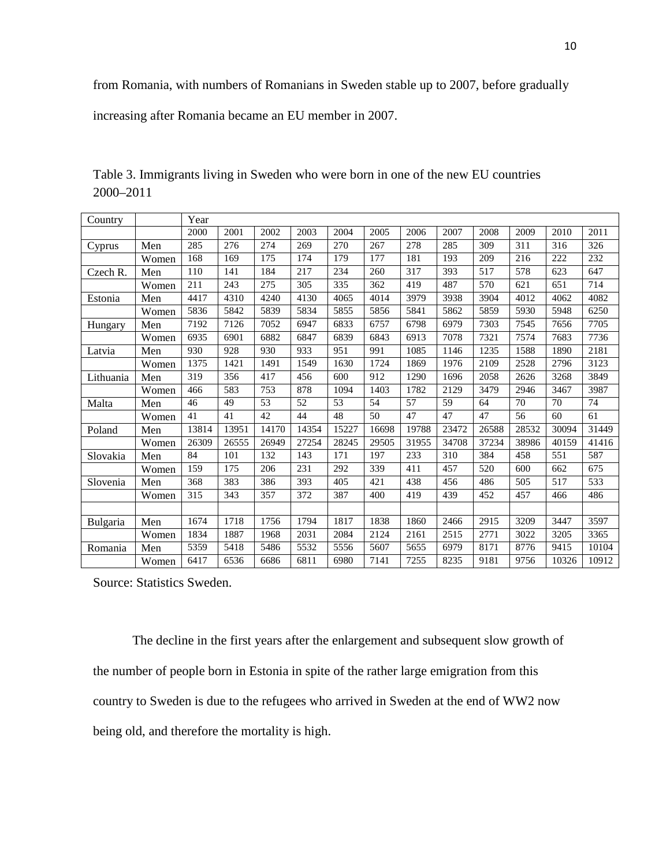from Romania, with numbers of Romanians in Sweden stable up to 2007, before gradually

increasing after Romania became an EU member in 2007.

| Country   |       | Year  |       |       |       |       |       |       |       |       |       |       |       |
|-----------|-------|-------|-------|-------|-------|-------|-------|-------|-------|-------|-------|-------|-------|
|           |       | 2000  | 2001  | 2002  | 2003  | 2004  | 2005  | 2006  | 2007  | 2008  | 2009  | 2010  | 2011  |
| Cyprus    | Men   | 285   | 276   | 274   | 269   | 270   | 267   | 278   | 285   | 309   | 311   | 316   | 326   |
|           | Women | 168   | 169   | 175   | 174   | 179   | 177   | 181   | 193   | 209   | 216   | 222   | 232   |
| Czech R.  | Men   | 110   | 141   | 184   | 217   | 234   | 260   | 317   | 393   | 517   | 578   | 623   | 647   |
|           | Women | 211   | 243   | 275   | 305   | 335   | 362   | 419   | 487   | 570   | 621   | 651   | 714   |
| Estonia   | Men   | 4417  | 4310  | 4240  | 4130  | 4065  | 4014  | 3979  | 3938  | 3904  | 4012  | 4062  | 4082  |
|           | Women | 5836  | 5842  | 5839  | 5834  | 5855  | 5856  | 5841  | 5862  | 5859  | 5930  | 5948  | 6250  |
| Hungary   | Men   | 7192  | 7126  | 7052  | 6947  | 6833  | 6757  | 6798  | 6979  | 7303  | 7545  | 7656  | 7705  |
|           | Women | 6935  | 6901  | 6882  | 6847  | 6839  | 6843  | 6913  | 7078  | 7321  | 7574  | 7683  | 7736  |
| Latvia    | Men   | 930   | 928   | 930   | 933   | 951   | 991   | 1085  | 1146  | 1235  | 1588  | 1890  | 2181  |
|           | Women | 1375  | 1421  | 1491  | 1549  | 1630  | 1724  | 1869  | 1976  | 2109  | 2528  | 2796  | 3123  |
| Lithuania | Men   | 319   | 356   | 417   | 456   | 600   | 912   | 1290  | 1696  | 2058  | 2626  | 3268  | 3849  |
|           | Women | 466   | 583   | 753   | 878   | 1094  | 1403  | 1782  | 2129  | 3479  | 2946  | 3467  | 3987  |
| Malta     | Men   | 46    | 49    | 53    | 52    | 53    | 54    | 57    | 59    | 64    | 70    | 70    | 74    |
|           | Women | 41    | 41    | 42    | 44    | 48    | 50    | 47    | 47    | 47    | 56    | 60    | 61    |
| Poland    | Men   | 13814 | 13951 | 14170 | 14354 | 15227 | 16698 | 19788 | 23472 | 26588 | 28532 | 30094 | 31449 |
|           | Women | 26309 | 26555 | 26949 | 27254 | 28245 | 29505 | 31955 | 34708 | 37234 | 38986 | 40159 | 41416 |
| Slovakia  | Men   | 84    | 101   | 132   | 143   | 171   | 197   | 233   | 310   | 384   | 458   | 551   | 587   |
|           | Women | 159   | 175   | 206   | 231   | 292   | 339   | 411   | 457   | 520   | 600   | 662   | 675   |
| Slovenia  | Men   | 368   | 383   | 386   | 393   | 405   | 421   | 438   | 456   | 486   | 505   | 517   | 533   |
|           | Women | 315   | 343   | 357   | 372   | 387   | 400   | 419   | 439   | 452   | 457   | 466   | 486   |
|           |       |       |       |       |       |       |       |       |       |       |       |       |       |
| Bulgaria  | Men   | 1674  | 1718  | 1756  | 1794  | 1817  | 1838  | 1860  | 2466  | 2915  | 3209  | 3447  | 3597  |
|           | Women | 1834  | 1887  | 1968  | 2031  | 2084  | 2124  | 2161  | 2515  | 2771  | 3022  | 3205  | 3365  |
| Romania   | Men   | 5359  | 5418  | 5486  | 5532  | 5556  | 5607  | 5655  | 6979  | 8171  | 8776  | 9415  | 10104 |
|           | Women | 6417  | 6536  | 6686  | 6811  | 6980  | 7141  | 7255  | 8235  | 9181  | 9756  | 10326 | 10912 |

Table 3. Immigrants living in Sweden who were born in one of the new EU countries 2000–2011

Source: Statistics Sweden.

The decline in the first years after the enlargement and subsequent slow growth of the number of people born in Estonia in spite of the rather large emigration from this country to Sweden is due to the refugees who arrived in Sweden at the end of WW2 now being old, and therefore the mortality is high.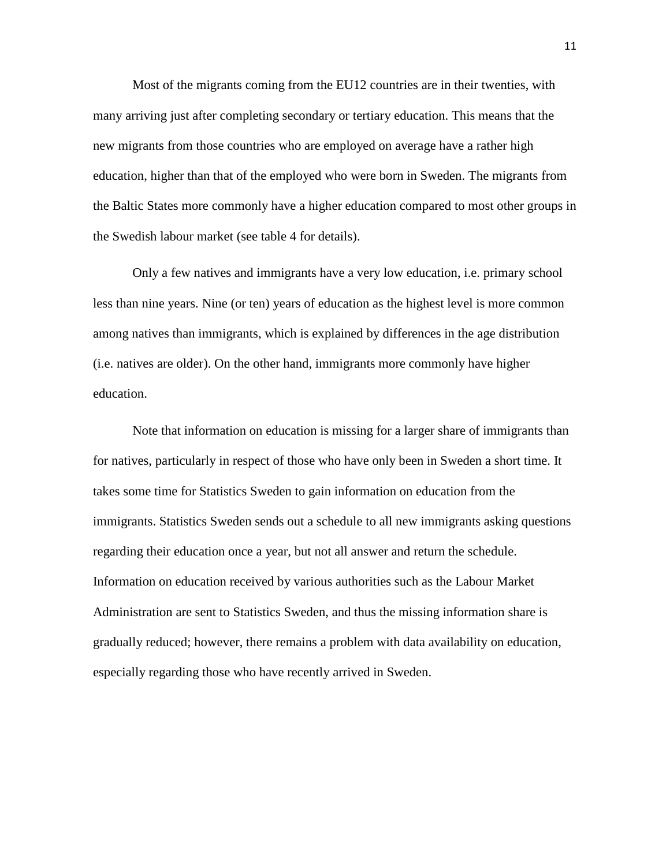Most of the migrants coming from the EU12 countries are in their twenties, with many arriving just after completing secondary or tertiary education. This means that the new migrants from those countries who are employed on average have a rather high education, higher than that of the employed who were born in Sweden. The migrants from the Baltic States more commonly have a higher education compared to most other groups in the Swedish labour market (see table 4 for details).

Only a few natives and immigrants have a very low education, i.e. primary school less than nine years. Nine (or ten) years of education as the highest level is more common among natives than immigrants, which is explained by differences in the age distribution (i.e. natives are older). On the other hand, immigrants more commonly have higher education.

Note that information on education is missing for a larger share of immigrants than for natives, particularly in respect of those who have only been in Sweden a short time. It takes some time for Statistics Sweden to gain information on education from the immigrants. Statistics Sweden sends out a schedule to all new immigrants asking questions regarding their education once a year, but not all answer and return the schedule. Information on education received by various authorities such as the Labour Market Administration are sent to Statistics Sweden, and thus the missing information share is gradually reduced; however, there remains a problem with data availability on education, especially regarding those who have recently arrived in Sweden.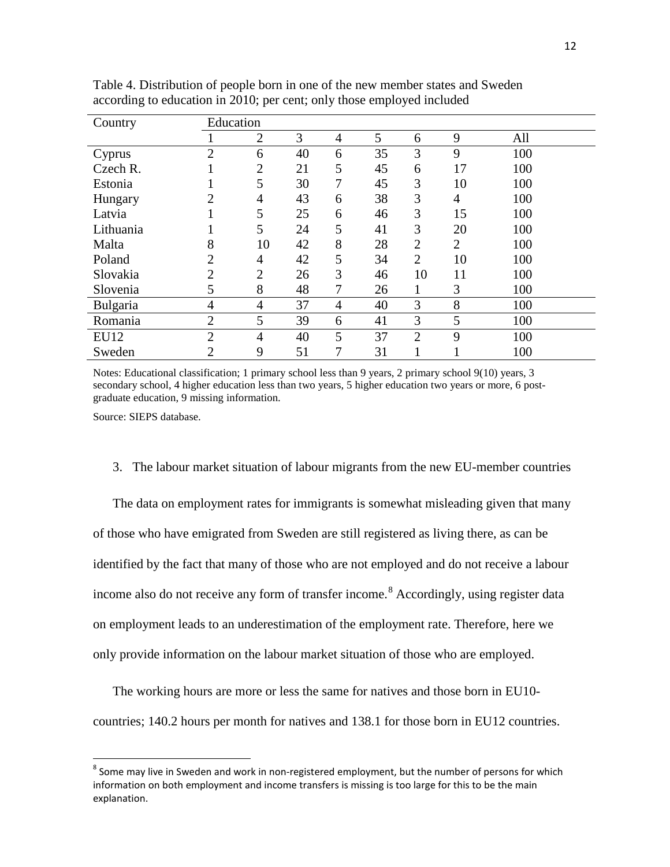| Country   | Education      |                |    |                |    |                |                |     |
|-----------|----------------|----------------|----|----------------|----|----------------|----------------|-----|
|           |                | $\overline{2}$ | 3  | $\overline{4}$ | 5  | 6              | 9              | All |
| Cyprus    | $\overline{2}$ | 6              | 40 | 6              | 35 | 3              | 9              | 100 |
| Czech R.  |                | $\overline{2}$ | 21 | 5              | 45 | 6              | 17             | 100 |
| Estonia   |                | 5              | 30 | 7              | 45 | 3              | 10             | 100 |
| Hungary   | $\overline{2}$ | 4              | 43 | 6              | 38 | 3              | 4              | 100 |
| Latvia    |                | 5              | 25 | 6              | 46 | 3              | 15             | 100 |
| Lithuania |                | 5              | 24 | 5              | 41 | 3              | 20             | 100 |
| Malta     | 8              | 10             | 42 | 8              | 28 | $\overline{2}$ | $\overline{2}$ | 100 |
| Poland    | $\overline{2}$ | 4              | 42 | 5              | 34 | $\overline{2}$ | 10             | 100 |
| Slovakia  | $\overline{2}$ | $\overline{2}$ | 26 | 3              | 46 | 10             | 11             | 100 |
| Slovenia  | 5              | 8              | 48 |                | 26 | 1              | 3              | 100 |
| Bulgaria  | 4              | 4              | 37 | $\overline{4}$ | 40 | 3              | 8              | 100 |
| Romania   | $\overline{2}$ | 5              | 39 | 6              | 41 | 3              | 5              | 100 |
| EU12      | $\overline{2}$ | $\overline{4}$ | 40 | 5              | 37 | $\overline{2}$ | 9              | 100 |
| Sweden    | $\overline{2}$ | 9              | 51 | 7              | 31 |                |                | 100 |

Table 4. Distribution of people born in one of the new member states and Sweden according to education in 2010; per cent; only those employed included

Notes: Educational classification; 1 primary school less than 9 years, 2 primary school 9(10) years, 3 secondary school, 4 higher education less than two years, 5 higher education two years or more, 6 postgraduate education, 9 missing information.

Source: SIEPS database.

3. The labour market situation of labour migrants from the new EU-member countries

The data on employment rates for immigrants is somewhat misleading given that many of those who have emigrated from Sweden are still registered as living there, as can be identified by the fact that many of those who are not employed and do not receive a labour income also do not receive any form of transfer income.<sup>[8](#page-9-0)</sup> Accordingly, using register data on employment leads to an underestimation of the employment rate. Therefore, here we only provide information on the labour market situation of those who are employed.

The working hours are more or less the same for natives and those born in EU10 countries; 140.2 hours per month for natives and 138.1 for those born in EU12 countries.

<span id="page-13-0"></span><sup>&</sup>lt;sup>8</sup> Some may live in Sweden and work in non-registered employment, but the number of persons for which information on both employment and income transfers is missing is too large for this to be the main explanation.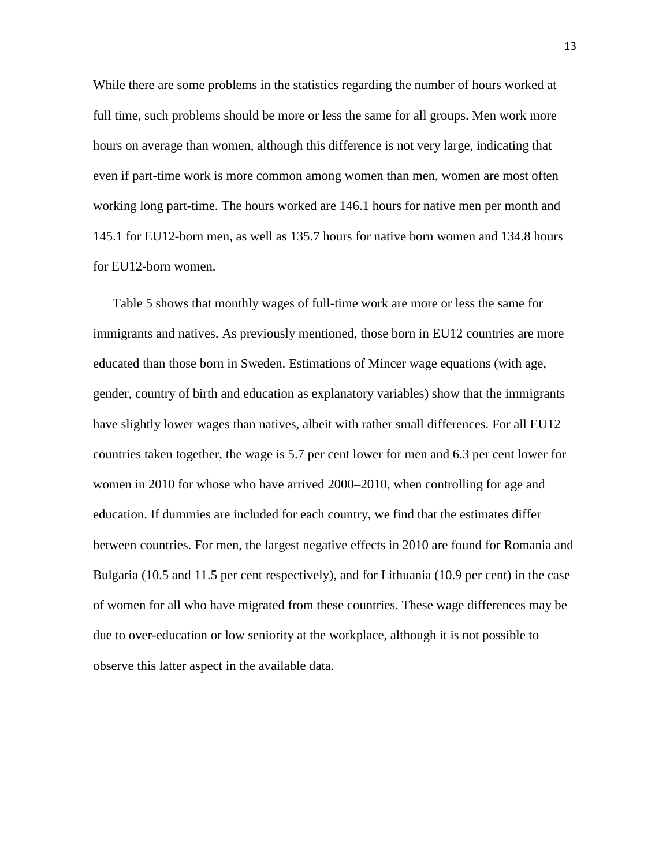While there are some problems in the statistics regarding the number of hours worked at full time, such problems should be more or less the same for all groups. Men work more hours on average than women, although this difference is not very large, indicating that even if part-time work is more common among women than men, women are most often working long part-time. The hours worked are 146.1 hours for native men per month and 145.1 for EU12-born men, as well as 135.7 hours for native born women and 134.8 hours for EU12-born women.

Table 5 shows that monthly wages of full-time work are more or less the same for immigrants and natives. As previously mentioned, those born in EU12 countries are more educated than those born in Sweden. Estimations of Mincer wage equations (with age, gender, country of birth and education as explanatory variables) show that the immigrants have slightly lower wages than natives, albeit with rather small differences. For all EU12 countries taken together, the wage is 5.7 per cent lower for men and 6.3 per cent lower for women in 2010 for whose who have arrived 2000–2010, when controlling for age and education. If dummies are included for each country, we find that the estimates differ between countries. For men, the largest negative effects in 2010 are found for Romania and Bulgaria (10.5 and 11.5 per cent respectively), and for Lithuania (10.9 per cent) in the case of women for all who have migrated from these countries. These wage differences may be due to over-education or low seniority at the workplace, although it is not possible to observe this latter aspect in the available data.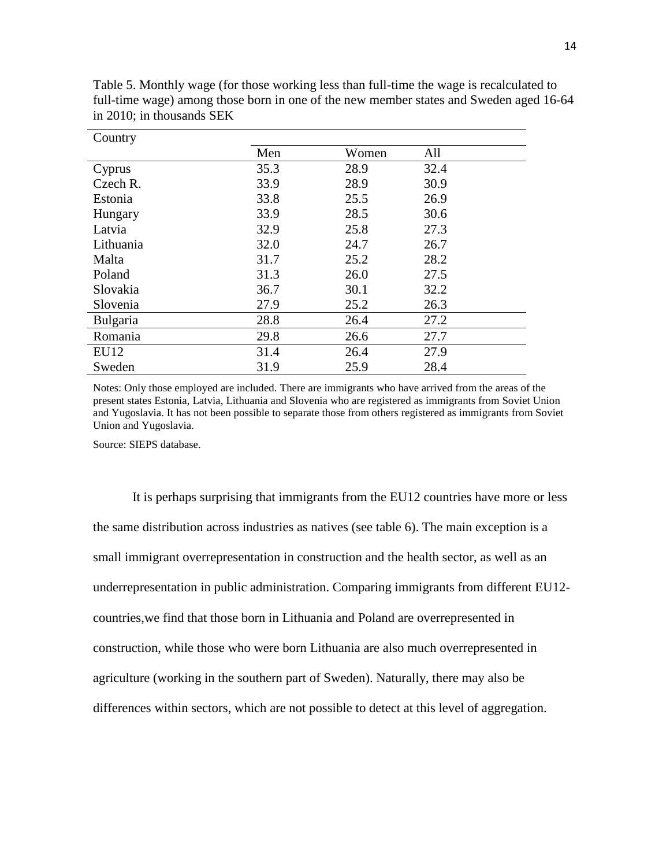| Country   |      |       |      |
|-----------|------|-------|------|
|           | Men  | Women | All  |
| Cyprus    | 35.3 | 28.9  | 32.4 |
| Czech R.  | 33.9 | 28.9  | 30.9 |
| Estonia   | 33.8 | 25.5  | 26.9 |
| Hungary   | 33.9 | 28.5  | 30.6 |
| Latvia    | 32.9 | 25.8  | 27.3 |
| Lithuania | 32.0 | 24.7  | 26.7 |
| Malta     | 31.7 | 25.2  | 28.2 |
| Poland    | 31.3 | 26.0  | 27.5 |
| Slovakia  | 36.7 | 30.1  | 32.2 |
| Slovenia  | 27.9 | 25.2  | 26.3 |
| Bulgaria  | 28.8 | 26.4  | 27.2 |
| Romania   | 29.8 | 26.6  | 27.7 |
| EU12      | 31.4 | 26.4  | 27.9 |
| Sweden    | 31.9 | 25.9  | 28.4 |

Table 5. Monthly wage (for those working less than full-time the wage is recalculated to full-time wage) among those born in one of the new member states and Sweden aged 16-64 in 2010; in thousands SEK

Notes: Only those employed are included. There are immigrants who have arrived from the areas of the present states Estonia, Latvia, Lithuania and Slovenia who are registered as immigrants from Soviet Union and Yugoslavia. It has not been possible to separate those from others registered as immigrants from Soviet Union and Yugoslavia.

Source: SIEPS database.

It is perhaps surprising that immigrants from the EU12 countries have more or less the same distribution across industries as natives (see table 6). The main exception is a small immigrant overrepresentation in construction and the health sector, as well as an underrepresentation in public administration. Comparing immigrants from different EU12 countries,we find that those born in Lithuania and Poland are overrepresented in construction, while those who were born Lithuania are also much overrepresented in agriculture (working in the southern part of Sweden). Naturally, there may also be differences within sectors, which are not possible to detect at this level of aggregation.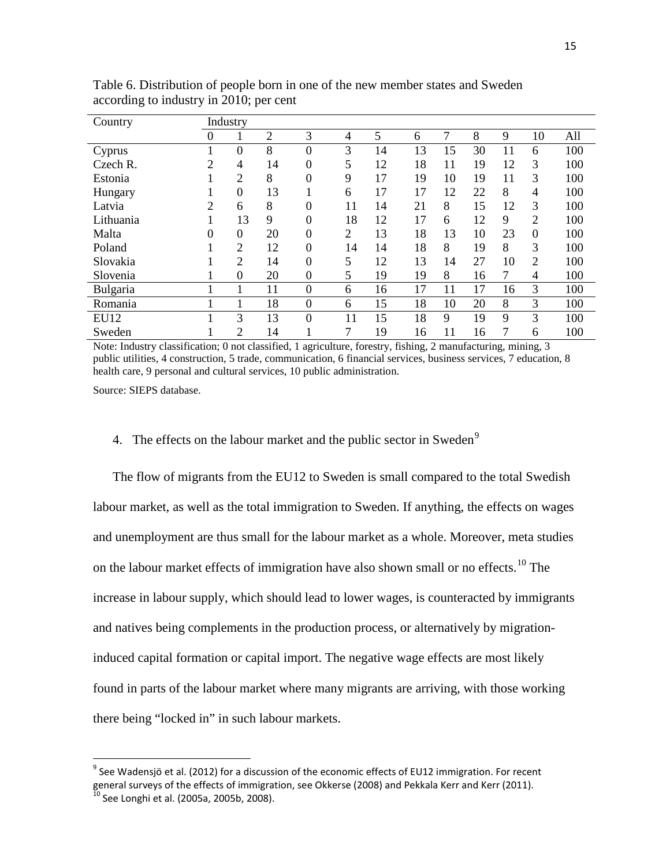| Country     | Industry |                |                |                |                |    |    |    |    |    |                |     |
|-------------|----------|----------------|----------------|----------------|----------------|----|----|----|----|----|----------------|-----|
|             | 0        |                | $\overline{2}$ | 3              | 4              | 5  | 6  | 7  | 8  | 9  | 10             | All |
| Cyprus      |          | $\overline{0}$ | 8              | $\overline{0}$ | 3              | 14 | 13 | 15 | 30 | 11 | 6              | 100 |
| Czech R.    | 2        | 4              | 14             | $\overline{0}$ | 5              | 12 | 18 | 11 | 19 | 12 | 3              | 100 |
| Estonia     |          | $\overline{2}$ | 8              | 0              | 9              | 17 | 19 | 10 | 19 | 11 | 3              | 100 |
| Hungary     |          | $\overline{0}$ | 13             |                | 6              | 17 | 17 | 12 | 22 | 8  | 4              | 100 |
| Latvia      | 2        | 6              | 8              | $\overline{0}$ | 11             | 14 | 21 | 8  | 15 | 12 | 3              | 100 |
| Lithuania   |          | 13             | 9              | $\overline{0}$ | 18             | 12 | 17 | 6  | 12 | 9  | $\overline{c}$ | 100 |
| Malta       | $\theta$ | $\overline{0}$ | 20             | $\mathbf{0}$   | $\overline{2}$ | 13 | 18 | 13 | 10 | 23 | $\overline{0}$ | 100 |
| Poland      |          | $\overline{2}$ | 12             | $\overline{0}$ | 14             | 14 | 18 | 8  | 19 | 8  | 3              | 100 |
| Slovakia    |          | $\overline{2}$ | 14             | $\theta$       | 5              | 12 | 13 | 14 | 27 | 10 | 2              | 100 |
| Slovenia    |          | $\overline{0}$ | 20             | $\mathbf{0}$   | 5              | 19 | 19 | 8  | 16 | 7  | 4              | 100 |
| Bulgaria    |          | 1              | 11             | $\mathbf{0}$   | 6              | 16 | 17 | 11 | 17 | 16 | 3              | 100 |
| Romania     |          |                | 18             | $\mathbf{0}$   | 6              | 15 | 18 | 10 | 20 | 8  | 3              | 100 |
| <b>EU12</b> |          | 3              | 13             | $\overline{0}$ | 11             | 15 | 18 | 9  | 19 | 9  | 3              | 100 |
| Sweden      |          | $\overline{2}$ | 14             |                | 7              | 19 | 16 | 11 | 16 |    | 6              | 100 |

Table 6. Distribution of people born in one of the new member states and Sweden according to industry in 2010; per cent

Note: Industry classification; 0 not classified, 1 agriculture, forestry, fishing, 2 manufacturing, mining, 3 public utilities, 4 construction, 5 trade, communication, 6 financial services, business services, 7 education, 8 health care, 9 personal and cultural services, 10 public administration.

Source: SIEPS database.

#### 4. The effects on the labour market and the public sector in Sweden<sup>[9](#page-13-0)</sup>

The flow of migrants from the EU12 to Sweden is small compared to the total Swedish labour market, as well as the total immigration to Sweden. If anything, the effects on wages and unemployment are thus small for the labour market as a whole. Moreover, meta studies on the labour market effects of immigration have also shown small or no effects.<sup>[10](#page-16-0)</sup> The increase in labour supply, which should lead to lower wages, is counteracted by immigrants and natives being complements in the production process, or alternatively by migrationinduced capital formation or capital import. The negative wage effects are most likely found in parts of the labour market where many migrants are arriving, with those working there being "locked in" in such labour markets.

<span id="page-16-1"></span><span id="page-16-0"></span> $9$  See Wadensjö et al. (2012) for a discussion of the economic effects of EU12 immigration. For recent general surveys of the effects of immigration, see Okkerse (2008) and Pekkala Kerr and Kerr (2011).  $^{10}$  See Longhi et al. (2005a, 2005b, 2008).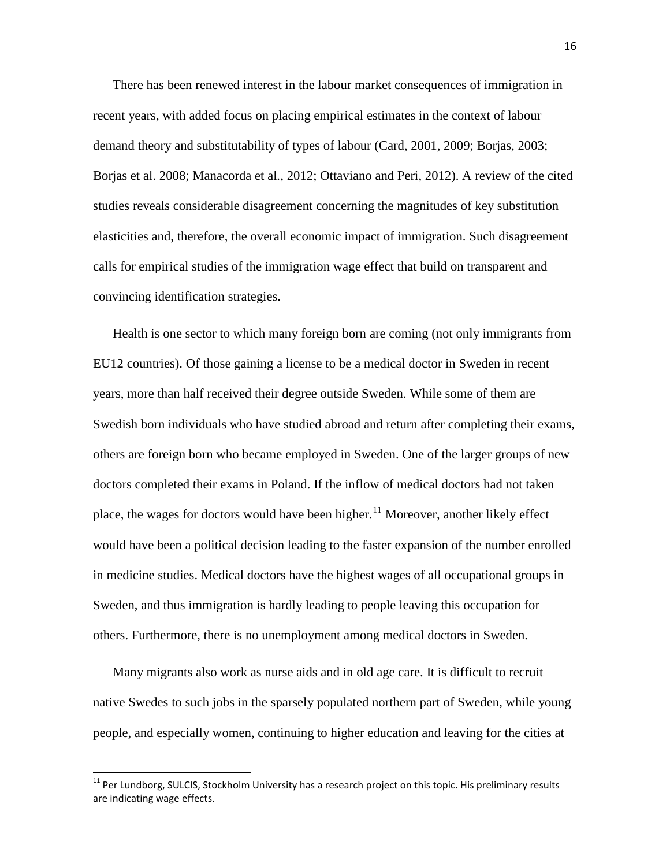There has been renewed interest in the labour market consequences of immigration in recent years, with added focus on placing empirical estimates in the context of labour demand theory and substitutability of types of labour [\(Card, 2001, 2009;](imap://eskil@mbox.su.se:143/fetch%3EUID%3E.INBOX%3E67623#b14) [Borjas, 2003;](imap://eskil@mbox.su.se:143/fetch%3EUID%3E.INBOX%3E67623#b8) Borjas et al. [2008;](imap://eskil@mbox.su.se:143/fetch%3EUID%3E.INBOX%3E67623#b11) [Manacorda et al](imap://eskil@mbox.su.se:143/fetch%3EUID%3E.INBOX%3E67623#b34)*.*, 2012; Ottaviano [and Peri, 2012\)](imap://eskil@mbox.su.se:143/fetch%3EUID%3E.INBOX%3E67623#b37). A review of the cited studies reveals considerable disagreement concerning the magnitudes of key substitution elasticities and, therefore, the overall economic impact of immigration. Such disagreement calls for empirical studies of the immigration wage effect that build on transparent and convincing identification strategies.

Health is one sector to which many foreign born are coming (not only immigrants from EU12 countries). Of those gaining a license to be a medical doctor in Sweden in recent years, more than half received their degree outside Sweden. While some of them are Swedish born individuals who have studied abroad and return after completing their exams, others are foreign born who became employed in Sweden. One of the larger groups of new doctors completed their exams in Poland. If the inflow of medical doctors had not taken place, the wages for doctors would have been higher.<sup>[11](#page-16-1)</sup> Moreover, another likely effect would have been a political decision leading to the faster expansion of the number enrolled in medicine studies. Medical doctors have the highest wages of all occupational groups in Sweden, and thus immigration is hardly leading to people leaving this occupation for others. Furthermore, there is no unemployment among medical doctors in Sweden.

Many migrants also work as nurse aids and in old age care. It is difficult to recruit native Swedes to such jobs in the sparsely populated northern part of Sweden, while young people, and especially women, continuing to higher education and leaving for the cities at

<span id="page-17-0"></span> $11$  Per Lundborg, SULCIS, Stockholm University has a research project on this topic. His preliminary results are indicating wage effects.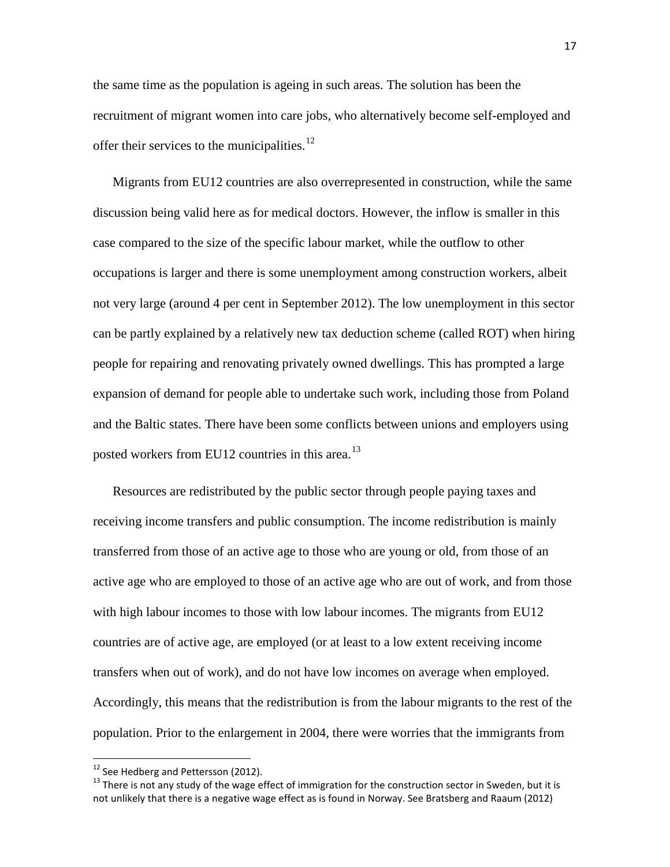the same time as the population is ageing in such areas. The solution has been the recruitment of migrant women into care jobs, who alternatively become self-employed and offer their services to the municipalities.<sup>[12](#page-17-0)</sup>

Migrants from EU12 countries are also overrepresented in construction, while the same discussion being valid here as for medical doctors. However, the inflow is smaller in this case compared to the size of the specific labour market, while the outflow to other occupations is larger and there is some unemployment among construction workers, albeit not very large (around 4 per cent in September 2012). The low unemployment in this sector can be partly explained by a relatively new tax deduction scheme (called ROT) when hiring people for repairing and renovating privately owned dwellings. This has prompted a large expansion of demand for people able to undertake such work, including those from Poland and the Baltic states. There have been some conflicts between unions and employers using posted workers from EU12 countries in this area.<sup>[13](#page-18-0)</sup>

Resources are redistributed by the public sector through people paying taxes and receiving income transfers and public consumption. The income redistribution is mainly transferred from those of an active age to those who are young or old, from those of an active age who are employed to those of an active age who are out of work, and from those with high labour incomes to those with low labour incomes. The migrants from EU12 countries are of active age, are employed (or at least to a low extent receiving income transfers when out of work), and do not have low incomes on average when employed. Accordingly, this means that the redistribution is from the labour migrants to the rest of the population. Prior to the enlargement in 2004, there were worries that the immigrants from

<span id="page-18-1"></span><span id="page-18-0"></span><sup>&</sup>lt;sup>12</sup> See Hedberg and Pettersson (2012).<br><sup>13</sup> There is not any study of the wage effect of immigration for the construction sector in Sweden, but it is not unlikely that there is a negative wage effect as is found in Norway. See Bratsberg and Raaum (2012)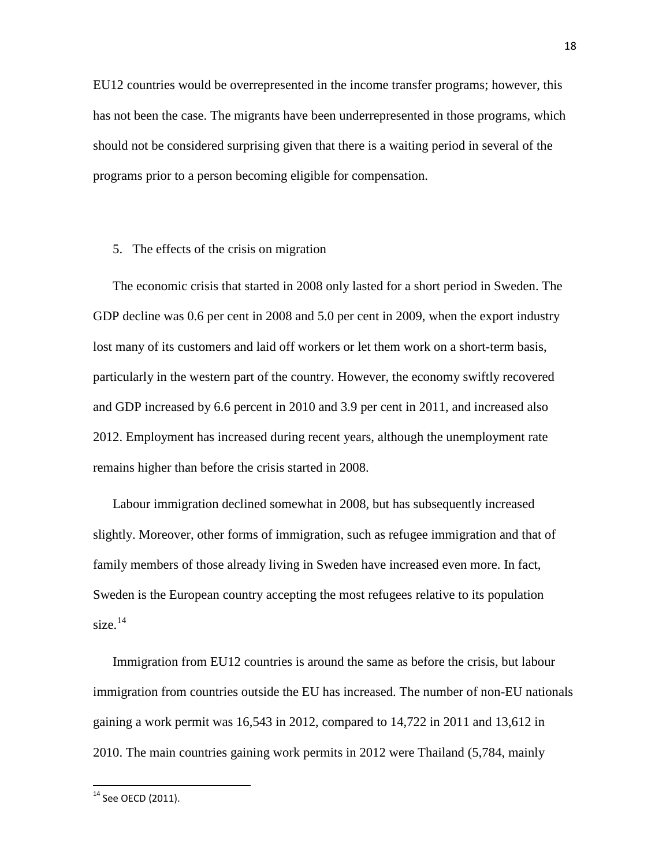EU12 countries would be overrepresented in the income transfer programs; however, this has not been the case. The migrants have been underrepresented in those programs, which should not be considered surprising given that there is a waiting period in several of the programs prior to a person becoming eligible for compensation.

#### 5. The effects of the crisis on migration

The economic crisis that started in 2008 only lasted for a short period in Sweden. The GDP decline was 0.6 per cent in 2008 and 5.0 per cent in 2009, when the export industry lost many of its customers and laid off workers or let them work on a short-term basis, particularly in the western part of the country. However, the economy swiftly recovered and GDP increased by 6.6 percent in 2010 and 3.9 per cent in 2011, and increased also 2012. Employment has increased during recent years, although the unemployment rate remains higher than before the crisis started in 2008.

Labour immigration declined somewhat in 2008, but has subsequently increased slightly. Moreover, other forms of immigration, such as refugee immigration and that of family members of those already living in Sweden have increased even more. In fact, Sweden is the European country accepting the most refugees relative to its population size. $14$ 

Immigration from EU12 countries is around the same as before the crisis, but labour immigration from countries outside the EU has increased. The number of non-EU nationals gaining a work permit was 16,543 in 2012, compared to 14,722 in 2011 and 13,612 in 2010. The main countries gaining work permits in 2012 were Thailand (5,784, mainly

<sup>&</sup>lt;sup>14</sup> See OECD (2011).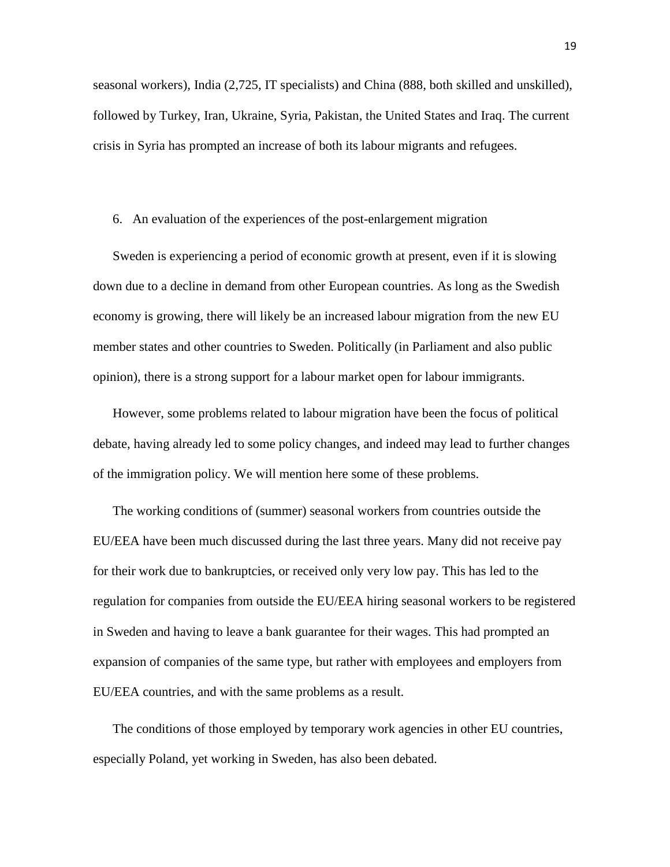seasonal workers), India (2,725, IT specialists) and China (888, both skilled and unskilled), followed by Turkey, Iran, Ukraine, Syria, Pakistan, the United States and Iraq. The current crisis in Syria has prompted an increase of both its labour migrants and refugees.

#### 6. An evaluation of the experiences of the post-enlargement migration

Sweden is experiencing a period of economic growth at present, even if it is slowing down due to a decline in demand from other European countries. As long as the Swedish economy is growing, there will likely be an increased labour migration from the new EU member states and other countries to Sweden. Politically (in Parliament and also public opinion), there is a strong support for a labour market open for labour immigrants.

However, some problems related to labour migration have been the focus of political debate, having already led to some policy changes, and indeed may lead to further changes of the immigration policy. We will mention here some of these problems.

The working conditions of (summer) seasonal workers from countries outside the EU/EEA have been much discussed during the last three years. Many did not receive pay for their work due to bankruptcies, or received only very low pay. This has led to the regulation for companies from outside the EU/EEA hiring seasonal workers to be registered in Sweden and having to leave a bank guarantee for their wages. This had prompted an expansion of companies of the same type, but rather with employees and employers from EU/EEA countries, and with the same problems as a result.

The conditions of those employed by temporary work agencies in other EU countries, especially Poland, yet working in Sweden, has also been debated.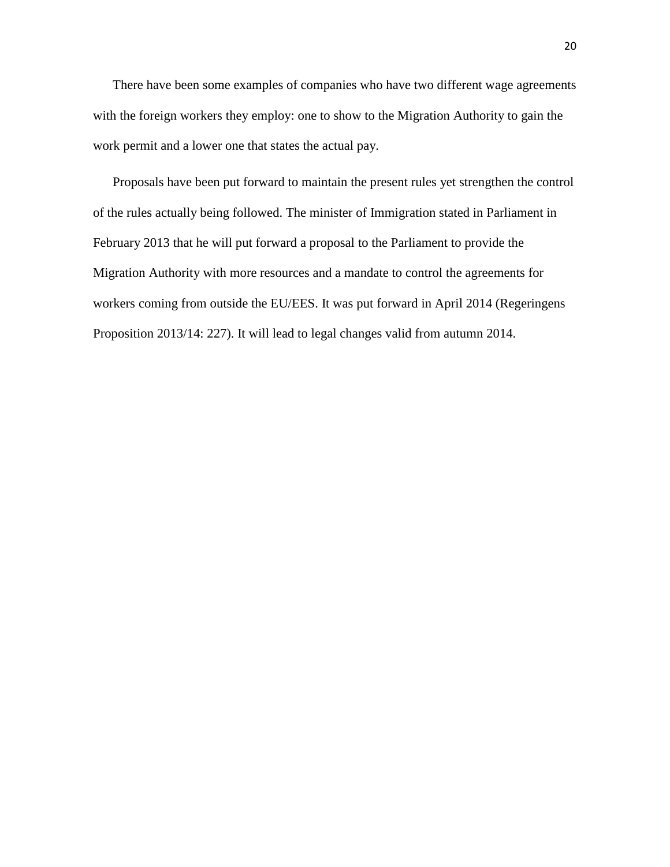There have been some examples of companies who have two different wage agreements with the foreign workers they employ: one to show to the Migration Authority to gain the work permit and a lower one that states the actual pay.

Proposals have been put forward to maintain the present rules yet strengthen the control of the rules actually being followed. The minister of Immigration stated in Parliament in February 2013 that he will put forward a proposal to the Parliament to provide the Migration Authority with more resources and a mandate to control the agreements for workers coming from outside the EU/EES. It was put forward in April 2014 (Regeringens Proposition 2013/14: 227). It will lead to legal changes valid from autumn 2014.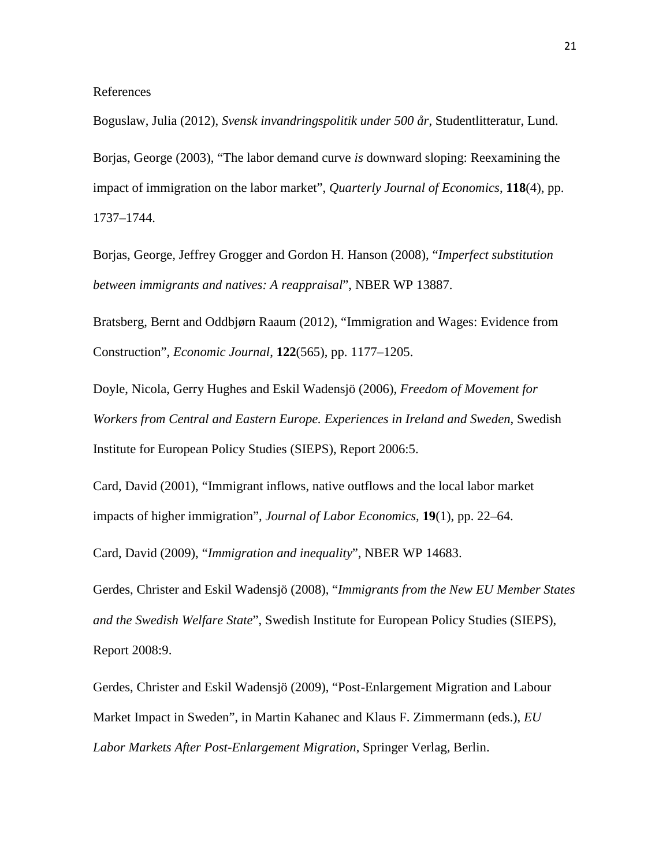References

Boguslaw, Julia (2012), *Svensk invandringspolitik under 500 år*, Studentlitteratur, Lund. [Borjas, George \(2003\)](imap://eskil@mbox.su.se:143/fetch%3EUID%3E.INBOX%3E67623#b8), "The labor demand curve *is* downward sloping: Reexamining the impact of immigration on the labor market", *Quarterly Journal of Economics*, **118**(4), pp. 1737–1744.

Borjas, George*,* [Jeffrey Grogger and Gordon H. Hanson](imap://eskil@mbox.su.se:143/fetch%3EUID%3E.INBOX%3E67623#b11) (2008), "*Imperfect substitution between immigrants and natives: A reappraisal*", NBER WP 13887.

Bratsberg, Bernt and Oddbjørn Raaum (2012), ["Immigration and Wages: Evidence from](http://ideas.repec.org/a/ecj/econjl/v122y2012i565p1177-1205.html)  [Construction"](http://ideas.repec.org/a/ecj/econjl/v122y2012i565p1177-1205.html), *[Economic Journal](http://ideas.repec.org/s/ecj/econjl.html)*, **122**(565), pp. 1177–1205.

Doyle, Nicola, Gerry Hughes and Eskil Wadensjö (2006), *Freedom of Movement for Workers from Central and Eastern Europe. Experiences in Ireland and Sweden*, Swedish Institute for European Policy Studies (SIEPS), Report 2006:5.

[Card, David \(2001\), "Immigrant inflows, native outflows and the local labor market](imap://eskil@mbox.su.se:143/fetch%3EUID%3E.INBOX%3E67623#b14)  [impacts of higher immigration",](imap://eskil@mbox.su.se:143/fetch%3EUID%3E.INBOX%3E67623#b14) *Journal of Labor Economics,* **19**(1), pp. 22–64.

Card, David (2009), "*Immigration and inequality*", NBER WP 14683.

Gerdes, Christer and Eskil Wadensjö (2008), "*Immigrants from the New EU Member States and the Swedish Welfare State*", Swedish Institute for European Policy Studies (SIEPS), Report 2008:9.

Gerdes, Christer and Eskil Wadensjö (2009), ["Post-Enlargement Migration and Labour](http://www.iza.org/en/webcontent/publications/papers/viewAbstract?dp_id=3586)  [Market Impact in Sweden", in Martin Kahanec and Klaus F. Zimmermann \(eds.\),](http://www.iza.org/en/webcontent/publications/papers/viewAbstract?dp_id=3586) *EU [Labor Markets After Post-Enlargement Migration](http://www.iza.org/en/webcontent/publications/papers/viewAbstract?dp_id=3586)*, Springer Verlag, Berlin.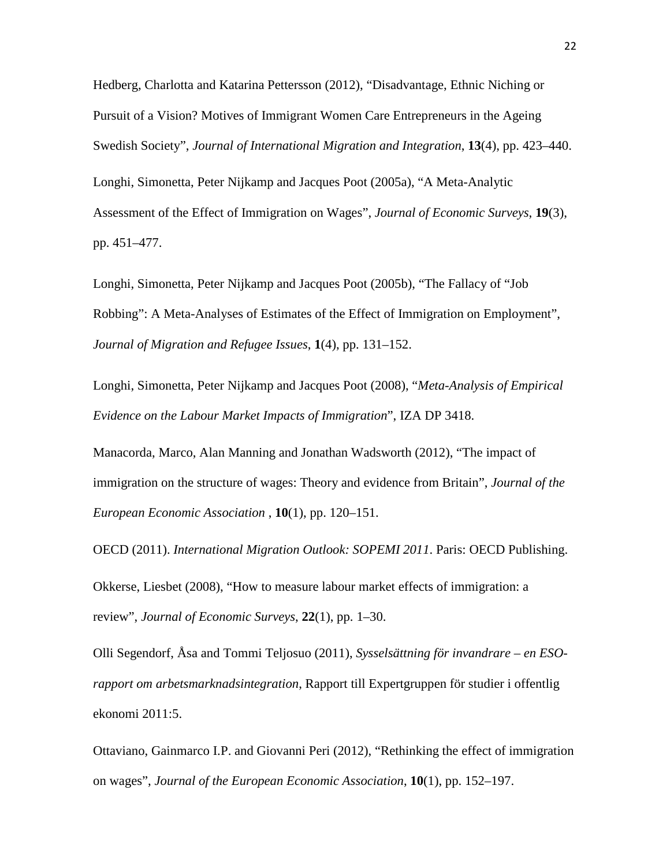Hedberg, Charlotta and Katarina Pettersson (2012), "Disadvantage, Ethnic Niching or Pursuit of a Vision? Motives of Immigrant Women Care Entrepreneurs in the Ageing Swedish Society", *Journal of International Migration and Integration*, **13**(4), pp. 423–440. Longhi, Simonetta, Peter Nijkamp and Jacques Poot (2005a), "A Meta-Analytic Assessment of the Effect of Immigration on Wages", *Journal of Economic Surveys*, **19**(3), pp. 451–477.

Longhi, Simonetta, Peter Nijkamp and Jacques Poot (2005b), "The Fallacy of "Job Robbing": A Meta-Analyses of Estimates of the Effect of Immigration on Employment", *Journal of Migration and Refugee Issues*, **1**(4), pp. 131–152.

Longhi, Simonetta, Peter Nijkamp and Jacques Poot (2008), "*Meta-Analysis of Empirical Evidence on the Labour Market Impacts of Immigration*", IZA DP 3418.

[Manacorda, Marco, Alan Manning and Jonathan Wadsworth \(2012\), "](imap://eskil@mbox.su.se:143/fetch%3EUID%3E.INBOX%3E67623#b34)The impact of immigration on the structure of wages: Theory and evidence from Britain", *Journal of the European Economic Association* , **10**(1), pp. 120–151.

OECD (2011). *International Migration Outlook: SOPEMI 2011*. Paris: OECD Publishing. Okkerse, Liesbet (2008), "How to measure labour market effects of immigration: a review", *Journal of Economic Surveys*, **22**(1), pp. 1–30.

Olli Segendorf, Åsa and Tommi Teljosuo (2011), *Sysselsättning för invandrare – en ESOrapport om arbetsmarknadsintegration*, Rapport till Expertgruppen för studier i offentlig ekonomi 2011:5.

[Ottaviano, Gainmarco I.P. and](imap://eskil@mbox.su.se:143/fetch%3EUID%3E.INBOX%3E67623#b37) Giovanni Peri (2012), "Rethinking the effect of immigration on wages", *Journal of the European Economic Association*, **10**(1), pp. 152–197.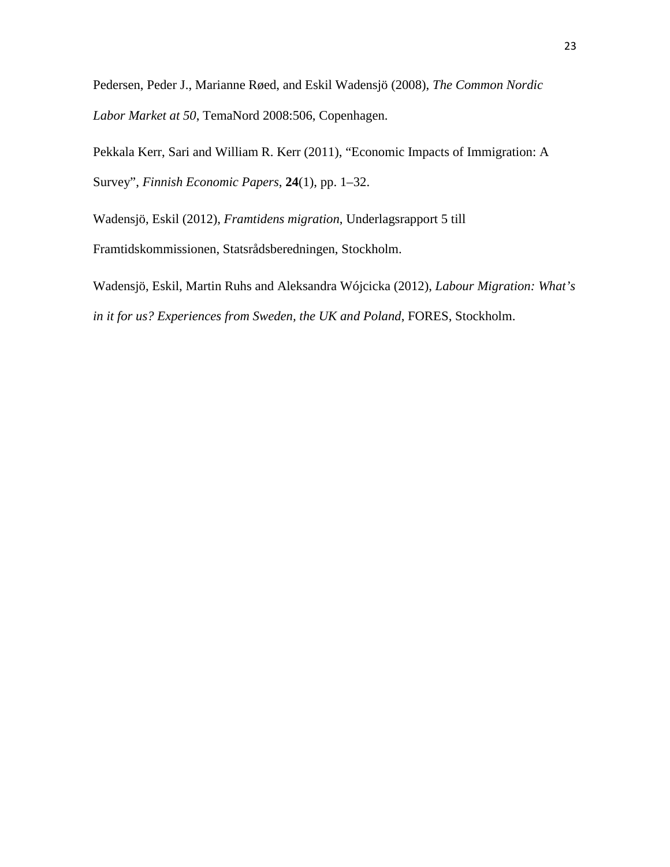Pedersen, Peder J., Marianne Røed, and Eskil Wadensjö (2008), *The Common Nordic Labor Market at 50*, TemaNord 2008:506, Copenhagen.

Pekkala Kerr, Sari and William R. Kerr (2011), "Economic Impacts of Immigration: A Survey", *Finnish Economic Papers*, **24**(1), pp. 1–32.

Wadensjö, Eskil (2012), *Framtidens migration*, Underlagsrapport 5 till

Framtidskommissionen, Statsrådsberedningen, Stockholm.

Wadensjö, Eskil, Martin Ruhs and Aleksandra Wójcicka (2012), *Labour Migration: What's in it for us? Experiences from Sweden, the UK and Poland*, FORES, Stockholm.